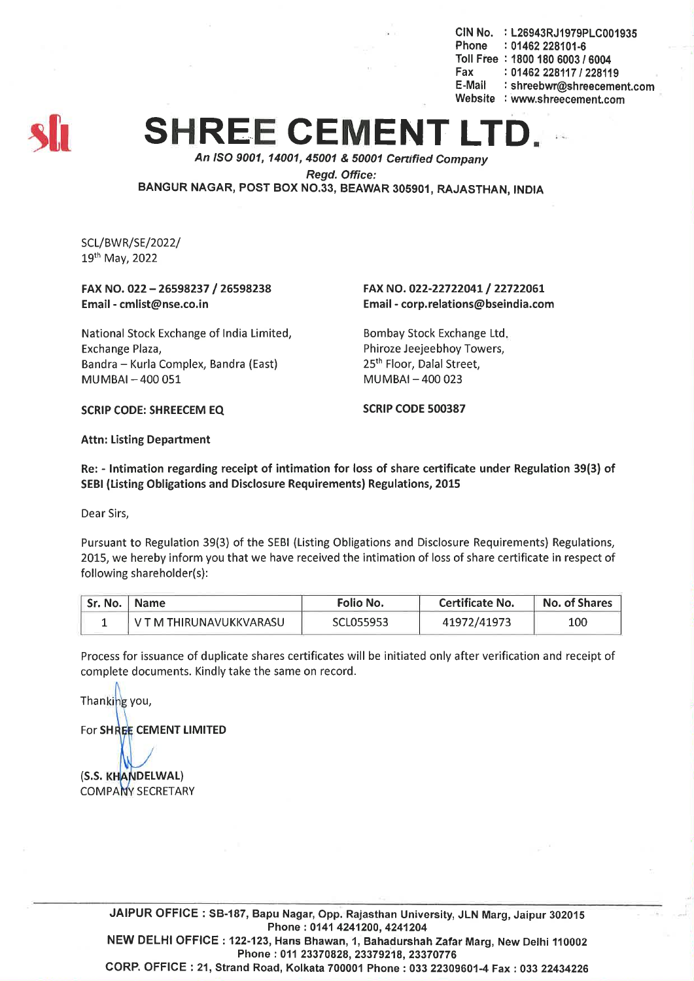CIN No. : L26943RJ1979PLC001935 Phone : 01462 228101-6 Toll Free : *18001806003/6004* Fax: *01462228117/228119* E-Mail: shreebwr@shreecement.com Website : www.shreecement.com



## **SHREE CEMENT**

*An ISO 9001, 14001,45001* & *50001 Cenified Company*

*Regd. Office:*

BANGUR NAGAR, POST BOX NO.33, BEAWAR 305901, RAJASTHAN, INDIA

SCL/BVVR/SE/2022/ 19th May, 2022

FAX NO. 022 - 26598237 /26598238 Email -cmlist@nse.co.in

National Stock Exchange of India Limited, Exchange Plaza, Bandra - Kurla Complex, Bandra (East) MUMBAI-400 051

FAX NO. 022-22722041/ 22722061 Email -corp.relations@bseindia.com

Bombay Stock Exchange Ltd. Phiroze Jeejeebhoy Towers, 25<sup>th</sup> Floor, Dalal Street, MUMBAI-400 023

SCRIP CODE: SHREECEM EQ SCRIP CODE 500387

Attn: Listing Department

Re: - Intimation regarding receipt of intimation for loss of share certificate under Regulation 39(3) of SEBI (Listing Obligations and Disclosure Requirements) Regulations, 2015

Dear Sirs,

Pursuant to Regulation 39(3) of the SEBI (Listing Obligations and Disclosure Requirements) Regulations, 2015, we hereby inform you that we have received the intimation of loss of share certificate in respect of following shareholder(s):

| Sr. No.   Name |                         | <b>Folio No.</b> | Certificate No. | No. of Shares |  |
|----------------|-------------------------|------------------|-----------------|---------------|--|
|                | V T M THIRUNAVUKKVARASU | SCL055953        | 41972/41973     | 100           |  |

Process for issuance of duplicate shares certificates will be initiated only after verification and receipt of complete documents. Kindly take the same on record.

Thanking you,

For SHREE CEMENT LIMITED

(S.S. KHANDELWAL) **COMPANY SECRETARY** 

JAIPUR OFFICE: SB-187, Bapu Nagar, Opp. Rajasthan University, JLN Marg, Jaipur 302015 Phone: 0141 4241200, 4241204 NEW DELHI OFFICE: 122-123, Hans Bhawan, 1, Bahadurshah Zafar Marg, New Delhi 110002 Phone:01123370828,23379218,23370776 CORP. OFFICE: 21, Strand Road, Kolkata 700001 Phone: 03322309601-4 Fax: 033 22434226